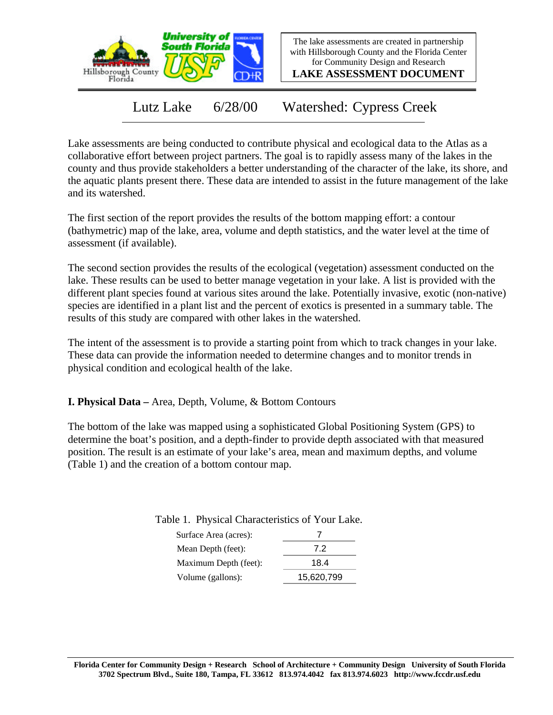

The lake assessments are created in partnership with Hillsborough County and the Florida Center for Community Design and Research

**LAKE ASSESSMENT DOCUMENT**

Lutz Lake 6/28/00 Watershed: Cypress Creek

Lake assessments are being conducted to contribute physical and ecological data to the Atlas as a collaborative effort between project partners. The goal is to rapidly assess many of the lakes in the county and thus provide stakeholders a better understanding of the character of the lake, its shore, and the aquatic plants present there. These data are intended to assist in the future management of the lake and its watershed.

The first section of the report provides the results of the bottom mapping effort: a contour (bathymetric) map of the lake, area, volume and depth statistics, and the water level at the time of assessment (if available).

The second section provides the results of the ecological (vegetation) assessment conducted on the lake. These results can be used to better manage vegetation in your lake. A list is provided with the different plant species found at various sites around the lake. Potentially invasive, exotic (non-native) species are identified in a plant list and the percent of exotics is presented in a summary table. The results of this study are compared with other lakes in the watershed.

The intent of the assessment is to provide a starting point from which to track changes in your lake. These data can provide the information needed to determine changes and to monitor trends in physical condition and ecological health of the lake.

**I. Physical Data –** Area, Depth, Volume, & Bottom Contours

The bottom of the lake was mapped using a sophisticated Global Positioning System (GPS) to determine the boat's position, and a depth-finder to provide depth associated with that measured position. The result is an estimate of your lake's area, mean and maximum depths, and volume (Table 1) and the creation of a bottom contour map.

Table 1. Physical Characteristics of Your Lake.

| Surface Area (acres): |            |
|-----------------------|------------|
| Mean Depth (feet):    | 7.2        |
| Maximum Depth (feet): | 18.4       |
| Volume (gallons):     | 15,620,799 |
|                       |            |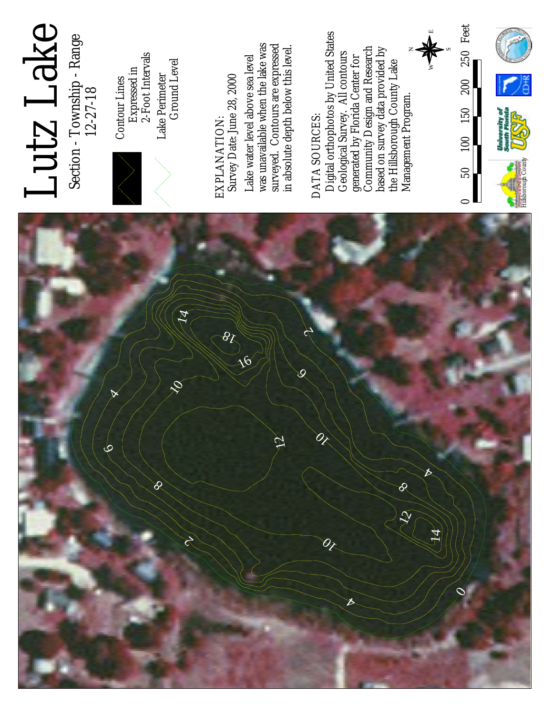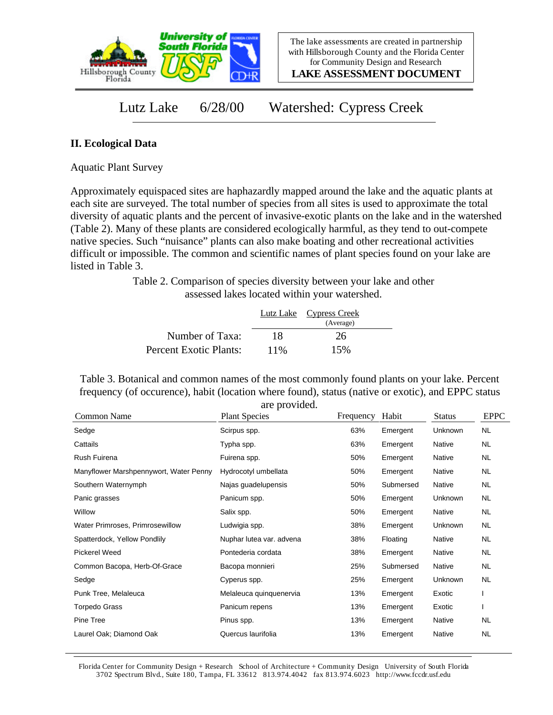

**LAKE ASSESSMENT DOCUMENT**

Lutz Lake 6/28/00 Watershed: Cypress Creek

## **II. Ecological Data**

Aquatic Plant Survey

Approximately equispaced sites are haphazardly mapped around the lake and the aquatic plants at each site are surveyed. The total number of species from all sites is used to approximate the total diversity of aquatic plants and the percent of invasive-exotic plants on the lake and in the watershed (Table 2). Many of these plants are considered ecologically harmful, as they tend to out-compete native species. Such "nuisance" plants can also make boating and other recreational activities difficult or impossible. The common and scientific names of plant species found on your lake are listed in Table 3.

> Table 2. Comparison of species diversity between your lake and other assessed lakes located within your watershed.

|                        |      | Lutz Lake Cypress Creek |  |
|------------------------|------|-------------------------|--|
|                        |      | (Average)               |  |
| Number of Taxa:        | 18   | 26                      |  |
| Percent Exotic Plants: | 11\% | 15%                     |  |

Table 3. Botanical and common names of the most commonly found plants on your lake. Percent frequency (of occurence), habit (location where found), status (native or exotic), and EPPC status are provided.

| Common Name                            | are provided.<br><b>Plant Species</b> | Frequency | Habit     | <b>Status</b> | <b>EPPC</b> |
|----------------------------------------|---------------------------------------|-----------|-----------|---------------|-------------|
| Sedge                                  | Scirpus spp.                          | 63%       | Emergent  | Unknown       | <b>NL</b>   |
| Cattails                               | Typha spp.                            | 63%       | Emergent  | Native        | NL.         |
| Rush Fuirena                           | Fuirena spp.                          | 50%       | Emergent  | Native        | NL.         |
| Manyflower Marshpennywort, Water Penny | Hydrocotyl umbellata                  | 50%       | Emergent  | Native        | <b>NL</b>   |
| Southern Waternymph                    | Najas guadelupensis                   | 50%       | Submersed | Native        | <b>NL</b>   |
| Panic grasses                          | Panicum spp.                          | 50%       | Emergent  | Unknown       | NL.         |
| Willow                                 | Salix spp.                            | 50%       | Emergent  | Native        | NL.         |
| Water Primroses, Primrosewillow        | Ludwigia spp.                         | 38%       | Emergent  | Unknown       | NL.         |
| Spatterdock, Yellow Pondlily           | Nuphar lutea var. advena              | 38%       | Floating  | Native        | NL.         |
| Pickerel Weed                          | Pontederia cordata                    | 38%       | Emergent  | Native        | NL.         |
| Common Bacopa, Herb-Of-Grace           | Bacopa monnieri                       | 25%       | Submersed | Native        | NL.         |
| Sedge                                  | Cyperus spp.                          | 25%       | Emergent  | Unknown       | <b>NL</b>   |
| Punk Tree, Melaleuca                   | Melaleuca quinquenervia               | 13%       | Emergent  | Exotic        |             |
| Torpedo Grass                          | Panicum repens                        | 13%       | Emergent  | Exotic        |             |
| Pine Tree                              | Pinus spp.                            | 13%       | Emergent  | Native        | NL.         |
| Laurel Oak; Diamond Oak                | Quercus laurifolia                    | 13%       | Emergent  | Native        | <b>NL</b>   |

Florida Center for Community Design + Research School of Architecture + Community Design University of South Florida 3702 Spectrum Blvd., Suite 180, Tampa, FL 33612 813.974.4042 fax 813.974.6023 http://www.fccdr.usf.edu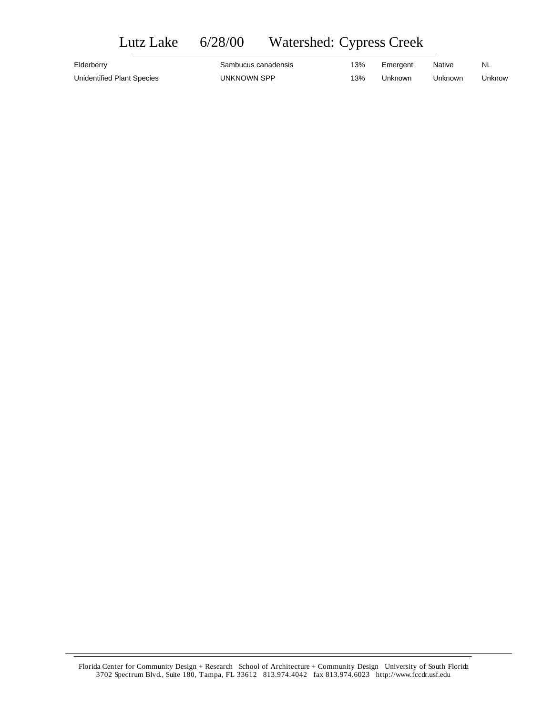## Lutz Lake 6/28/00 Watershed: Cypress Creek

| Elderberry                 | Sambucus canadensis | 13% | Emergent | <b>Native</b> | NL.    |
|----------------------------|---------------------|-----|----------|---------------|--------|
| Unidentified Plant Species | UNKNOWN SPP         | 13% | Unknown  | Unknown       | Unknow |

Florida Center for Community Design + Research School of Architecture + Community Design University of South Florida 3702 Spectrum Blvd., Suite 180, Tampa, FL 33612 813.974.4042 fax 813.974.6023 http://www.fccdr.usf.edu